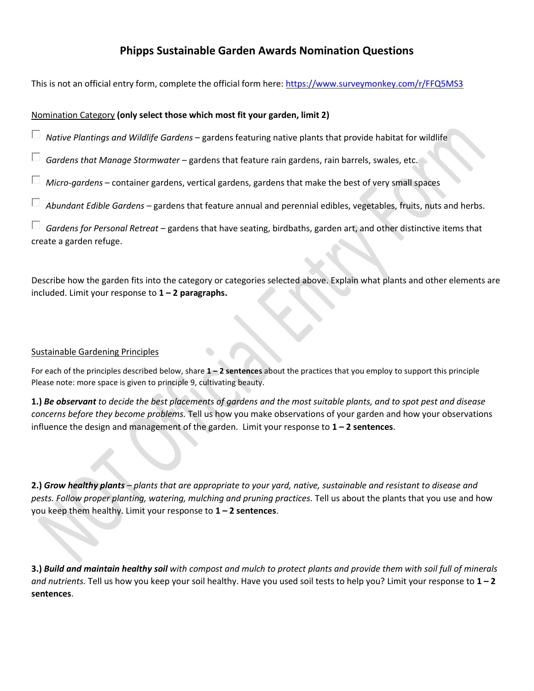# **Phipps Sustainable Garden Awards Nomination Questions**

This is not an official entry form, complete the official form here[: https://www.surveymonkey.com/r/FFQ5MS3](https://www.surveymonkey.com/r/FFQ5MS3)

### Nomination Category **(only select those which most fit your garden, limit 2)**

*Native Plantings and Wildlife Gardens* – gardens featuring native plants that provide habitat for wildlife

*Gardens that Manage Stormwater* – gardens that feature rain gardens, rain barrels, swales, etc.

*Micro-gardens* – container gardens, vertical gardens, gardens that make the best of very small spaces

*Abundant Edible Gardens* – gardens that feature annual and perennial edibles, vegetables, fruits, nuts and herbs.

*Gardens for Personal Retreat* – gardens that have seating, birdbaths, garden art, and other distinctive items that create a garden refuge.

Describe how the garden fits into the category or categories selected above. Explain what plants and other elements are included. Limit your response to **1 – 2 paragraphs.**

### Sustainable Gardening Principles

For each of the principles described below, share **1 – 2 sentences** about the practices that you employ to support this principle Please note: more space is given to principle 9, cultivating beauty.

**1.)** *Be observant to decide the best placements of gardens and the most suitable plants, and to spot pest and disease concerns before they become problems.* Tell us how you make observations of your garden and how your observations influence the design and management of the garden. Limit your response to **1 – 2 sentences**.

**2.)** *Grow healthy plants – plants that are appropriate to your yard, native, sustainable and resistant to disease and pests. Follow proper planting, watering, mulching and pruning practices.* Tell us about the plants that you use and how you keep them healthy. Limit your response to **1 – 2 sentences**.

**3.)** *Build and maintain healthy soil with compost and mulch to protect plants and provide them with soil full of minerals and nutrients.* Tell us how you keep your soil healthy. Have you used soil tests to help you? Limit your response to **1 – 2 sentences**.